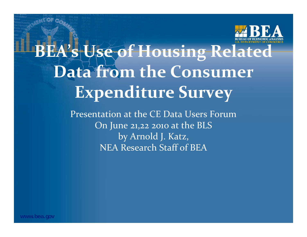

# **BEA's Use of Housing Related Data from the Consumer Expenditure Survey**

Presentation at the CE Data Users ForumOn June 21,22 <sup>2010</sup> at the BLS by Arnold J. Katz, NEA Research Staff of BEA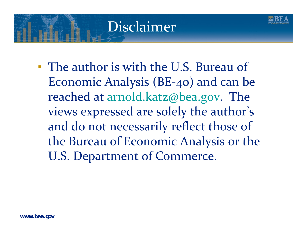## Disclaimer

▪ The author is with the U.S. Bureau of Economic Analysis (BE‐40) and can be reached at <u>arnold.katz@bea.gov</u>. The views expressed are solely the author's and do not necessarily reflect those of the Bureau of Economic Analysis or the U.S. Department of Commerce.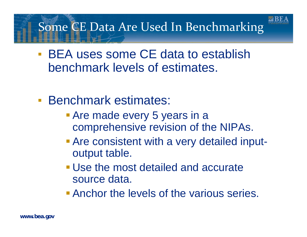#### Some CE Data Are Used In Benchmarking

- **BEA uses some CE data to establish** benchmark levels of estimates.
- $\mathbf{E}$  Benchmark estimates:
	- **Are made every 5 years in a** comprehensive revision of the NIPAs.
	- **Are consistent with a very detailed input**output table.
	- Use the most detailed and accurate source data.
	- **Anchor the levels of the various series.**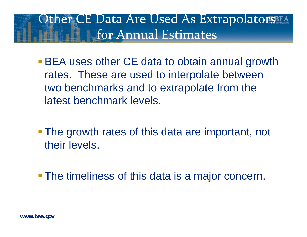#### Other CE Data Are Used As Extrapolators for Annual Estimates

- **BEA uses other CE data to obtain annual growth** rates. These are used to interpolate between two benchmarks and to extrapolate from the latest benchmark levels.
- The growth rates of this data are important, not their levels.
- **The timeliness of this data is a major concern.**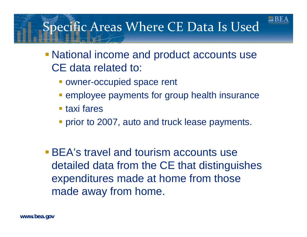

#### Specific Areas Where CE Data Is Used

- National income and product accounts use CE data related to:
	- **OWNET-OCCUPIED Space rent**
	- **Examployee payments for group health insurance**
	- taxi fares
	- **Prior to 2007, auto and truck lease payments.**
- **BEA's travel and tourism accounts use** detailed data from the CE that distinguishes expenditures made at home from those made away from home.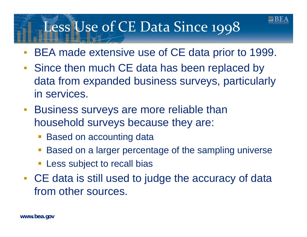## Less Use of CE Data Since 1998

- ▪BEA made extensive use of CE data prior to 1999.
- ▪• Since then much CE data has been replaced by data from expanded business surveys, particularly in services.
- $\mathbb{R}^n$  Business surveys are more reliable than household surveys because they are:
	- Based on accounting data
	- Based on a larger percentage of the sampling universe
	- **Example 1** Less subject to recall bias
- ▪ CE data is still used to judge the accuracy of data from other sources.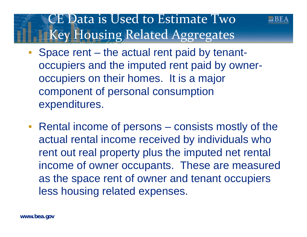#### CE Data is Used to Estimate Two Key Housing Related Aggregates



- ▪ Space rent – the actual rent paid by tenantoccupiers and the imputed rent paid by owneroccupiers on their homes. It is a major component of personal consumption expenditures.
- **Rental income of persons consists mostly of the** actual rental income received by individuals who rent out real property plus the imputed net rental income of owner occupants. These are measured as the space rent of owner and tenant occupiers less housing related expenses.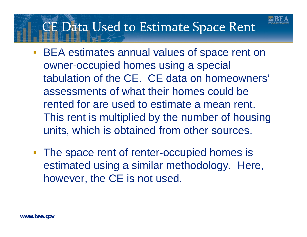#### CE Data Used to Estimate Space Rent

- $\Box$  BEA estimates annual values of space rent on owner-occupied homes using a special tabulation of the CE. CE data on homeowners' assessments of what their homes could be rented for are used to estimate a mean rent. This rent is multiplied by the number of housing units, which is obtained from other sources.
- **The space rent of renter-occupied homes is** estimated using a similar methodology. Here, however, the CE is not used.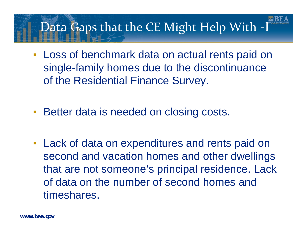#### Data Gaps that the CE Might Help With ‐I

- **Exagger 1 Loss of benchmark data on actual rents paid on** single-family homes due to the discontinuance of the Residential Finance Survey.
- $\mathbb{R}^n$ Better data is needed on closing costs.
- **Example 2 Fig. 2 Lack of data on expenditures and rents paid on** second and vacation homes and other dwellings that are not someone's principal residence. Lack of data on the number of second homes and timeshares.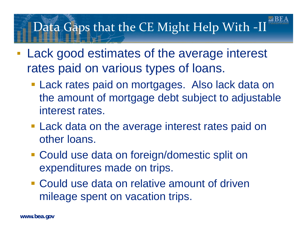#### Data Gaps that the CE Might Help With ‐II

- $\mathbb{R}^n$  Lack good estimates of the average interest rates paid on various types of loans.
	- **Lack rates paid on mortgages. Also lack data on** the amount of mortgage debt subject to adjustable interest rates.
	- **Lack data on the average interest rates paid on** other loans.
	- **Could use data on foreign/domestic split on** expenditures made on trips.
	- Could use data on relative amount of driven mileage spent on vacation trips.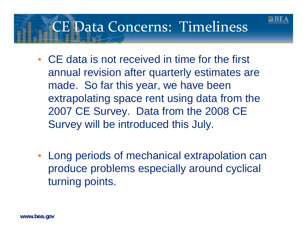## CE Data Concerns: Timeliness

- CE data is not received in time for the first annual revision after quarterly estimates are made. So far this year, we have been extrapolating space rent using data from the 2007 CE Survey. Data from the 2008 CE Survey will be introduced this July.
- **EXECT 10 Extrapolation can EXET** Long periods of mechanical extrapolation can produce problems especially around cyclical turning points.